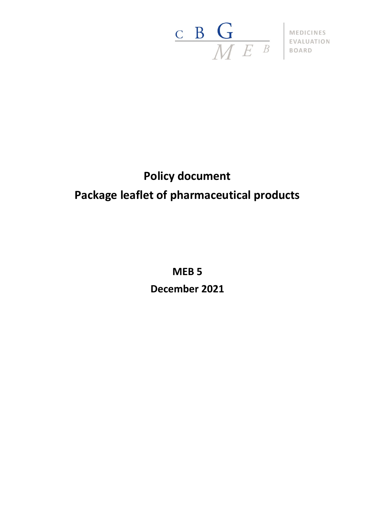

## **Policy document Package leaflet of pharmaceutical products**

**MEB 5 December 2021**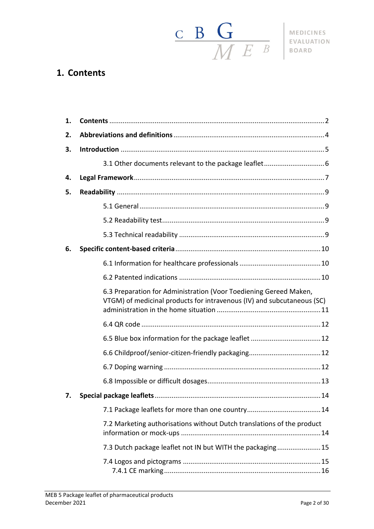

## <span id="page-1-0"></span>**1. Contents**

| 1. |                                                                                                                                             |  |
|----|---------------------------------------------------------------------------------------------------------------------------------------------|--|
| 2. |                                                                                                                                             |  |
| 3. |                                                                                                                                             |  |
|    |                                                                                                                                             |  |
| 4. |                                                                                                                                             |  |
| 5. |                                                                                                                                             |  |
|    |                                                                                                                                             |  |
|    |                                                                                                                                             |  |
|    |                                                                                                                                             |  |
| 6. |                                                                                                                                             |  |
|    |                                                                                                                                             |  |
|    |                                                                                                                                             |  |
|    | 6.3 Preparation for Administration (Voor Toediening Gereed Maken,<br>VTGM) of medicinal products for intravenous (IV) and subcutaneous (SC) |  |
|    |                                                                                                                                             |  |
|    |                                                                                                                                             |  |
|    |                                                                                                                                             |  |
|    |                                                                                                                                             |  |
|    |                                                                                                                                             |  |
| 7. |                                                                                                                                             |  |
|    |                                                                                                                                             |  |
|    | 7.2 Marketing authorisations without Dutch translations of the product                                                                      |  |
|    | 7.3 Dutch package leaflet not IN but WITH the packaging15                                                                                   |  |
|    |                                                                                                                                             |  |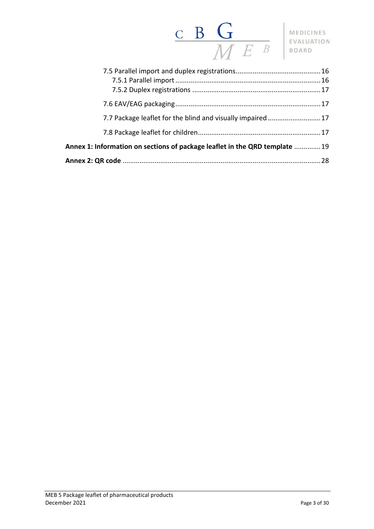# $\begin{array}{c|c|c|c} \textbf{c} & \textbf{B} & \textbf{G} \ \hline \textbf{M} & E & B & \textbf{MEDICINES} \ \textbf{EVALUATION} \end{array}$

| 7.7 Package leaflet for the blind and visually impaired17                   |  |  |
|-----------------------------------------------------------------------------|--|--|
|                                                                             |  |  |
| Annex 1: Information on sections of package leaflet in the QRD template  19 |  |  |
|                                                                             |  |  |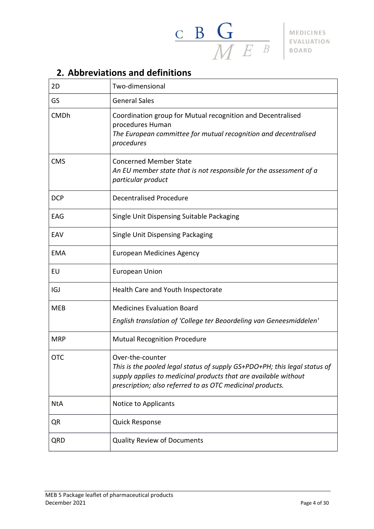

## <span id="page-3-0"></span>**2. Abbreviations and definitions**

| 2D          | Two-dimensional                                                                                                                                                                                                               |
|-------------|-------------------------------------------------------------------------------------------------------------------------------------------------------------------------------------------------------------------------------|
| GS          | <b>General Sales</b>                                                                                                                                                                                                          |
| <b>CMDh</b> | Coordination group for Mutual recognition and Decentralised<br>procedures Human<br>The European committee for mutual recognition and decentralised<br>procedures                                                              |
| <b>CMS</b>  | <b>Concerned Member State</b><br>An EU member state that is not responsible for the assessment of a<br>particular product                                                                                                     |
| <b>DCP</b>  | <b>Decentralised Procedure</b>                                                                                                                                                                                                |
| EAG         | Single Unit Dispensing Suitable Packaging                                                                                                                                                                                     |
| EAV         | Single Unit Dispensing Packaging                                                                                                                                                                                              |
| <b>EMA</b>  | <b>European Medicines Agency</b>                                                                                                                                                                                              |
| EU          | <b>European Union</b>                                                                                                                                                                                                         |
| IGJ         | Health Care and Youth Inspectorate                                                                                                                                                                                            |
| <b>MEB</b>  | <b>Medicines Evaluation Board</b>                                                                                                                                                                                             |
|             | English translation of 'College ter Beoordeling van Geneesmiddelen'                                                                                                                                                           |
| <b>MRP</b>  | <b>Mutual Recognition Procedure</b>                                                                                                                                                                                           |
| <b>OTC</b>  | Over-the-counter<br>This is the pooled legal status of supply GS+PDO+PH; this legal status of<br>supply applies to medicinal products that are available without<br>prescription; also referred to as OTC medicinal products. |
| <b>NtA</b>  | Notice to Applicants                                                                                                                                                                                                          |
| QR          | <b>Quick Response</b>                                                                                                                                                                                                         |
| QRD         | <b>Quality Review of Documents</b>                                                                                                                                                                                            |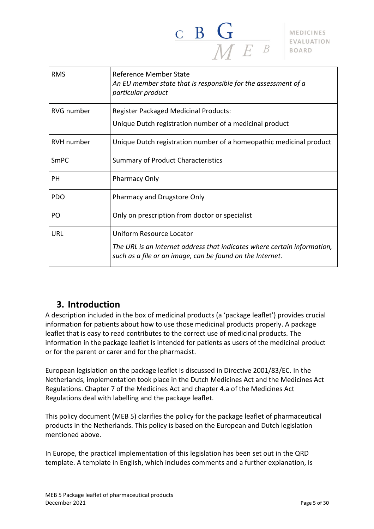

| <b>RMS</b>        | Reference Member State<br>An EU member state that is responsible for the assessment of a<br>particular product                                                    |
|-------------------|-------------------------------------------------------------------------------------------------------------------------------------------------------------------|
| <b>RVG</b> number | <b>Register Packaged Medicinal Products:</b><br>Unique Dutch registration number of a medicinal product                                                           |
| <b>RVH</b> number | Unique Dutch registration number of a homeopathic medicinal product                                                                                               |
| <b>SmPC</b>       | <b>Summary of Product Characteristics</b>                                                                                                                         |
| PН                | Pharmacy Only                                                                                                                                                     |
| <b>PDO</b>        | Pharmacy and Drugstore Only                                                                                                                                       |
| PO.               | Only on prescription from doctor or specialist                                                                                                                    |
| URL               | Uniform Resource Locator<br>The URL is an Internet address that indicates where certain information,<br>such as a file or an image, can be found on the Internet. |

## <span id="page-4-0"></span>**3. Introduction**

A description included in the box of medicinal products (a 'package leaflet') provides crucial information for patients about how to use those medicinal products properly. A package leaflet that is easy to read contributes to the correct use of medicinal products. The information in the package leaflet is intended for patients as users of the medicinal product or for the parent or carer and for the pharmacist.

European legislation on the package leaflet is discussed in Directive 2001/83/EC. In the Netherlands, implementation took place in the Dutch Medicines Act and the Medicines Act Regulations. Chapter 7 of the Medicines Act and chapter 4.a of the Medicines Act Regulations deal with labelling and the package leaflet.

This policy document (MEB 5) clarifies the policy for the package leaflet of pharmaceutical products in the Netherlands. This policy is based on the European and Dutch legislation mentioned above.

In Europe, the practical implementation of this legislation has been set out in the QRD template. A template in English, which includes comments and a further explanation, is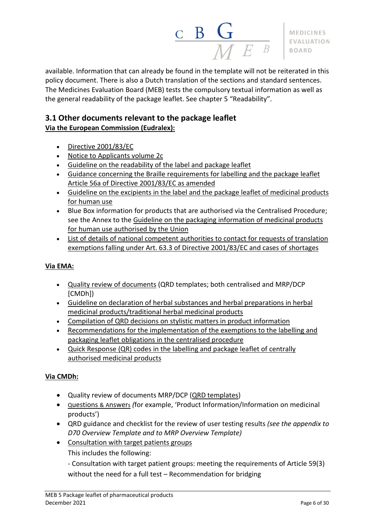

available. Information that can already be found in the template will not be reiterated in this policy document. There is also a Dutch translation of the sections and standard sentences. The Medicines Evaluation Board (MEB) tests the compulsory textual information as well as the general readability of the package leaflet. See chapter 5 "Readability".

## <span id="page-5-0"></span>**3.1 Other documents relevant to the package leaflet Via the European [Commission](https://ec.europa.eu/health/documents/eudralex_en) (Eudralex):**

- Directive [2001/83/EC](https://ec.europa.eu/health/sites/health/files/files/eudralex/vol-1/dir_2001_83_consol_2012/dir_2001_83_cons_2012_en.pdf)
- Notice to [Applicants](http://ec.europa.eu/health/documents/eudralex/vol-2_en) volume 2c
- Guideline on the [readability](https://ec.europa.eu/health/sites/health/files/files/eudralex/vol-2/c/2009_01_12_readability_guideline_final_en.pdf) of the label and package leaflet
- Guidance concerning the Braille [requirements](http://academy.gmp-compliance.org/guidemgr/files/BRAILLE_TEXT20050411.PDF) for labelling and the package leaflet Article 56a of Directive [2001/83/EC](http://academy.gmp-compliance.org/guidemgr/files/BRAILLE_TEXT20050411.PDF) as amended
- Guideline on the [excipients](https://www.ema.europa.eu/en/annex-european-commission-guideline-excipients-labelling-package-leaflet-medicinal-products-human#current-effective-version-section) in the label and the package leaflet of medicinal products for [human](https://www.ema.europa.eu/en/annex-european-commission-guideline-excipients-labelling-package-leaflet-medicinal-products-human#current-effective-version-section) use
- Blue Box information for products that are authorised via the Centralised Procedure; see the Annex to the Guideline on the packaging [information](https://ec.europa.eu/health/sites/health/files/files/eudralex/vol-2/2016_12_packaging_guidelines_revision_14_4.pdf) of medicinal products for human use [authorised](https://ec.europa.eu/health/sites/health/files/files/eudralex/vol-2/2016_12_packaging_guidelines_revision_14_4.pdf) by the Union
- List of details of national [competent](http://www.ema.europa.eu/docs/en_GB/document_library/Other/2014/08/WC500170683.pdf) authorities to contact for requests of translation exemptions falling under Art. 63.3 of Directive [2001/83/EC](http://www.ema.europa.eu/docs/en_GB/document_library/Other/2014/08/WC500170683.pdf) and cases of shortages

## **Via [EMA:](https://www.ema.europa.eu/en/annex-european-commission-guideline-excipients-labelling-package-leaflet-medicinal-products-human)**

- Quality review of [documents](http://www.ema.europa.eu/ema/index.jsp?curl=pages/regulation/document_listing/document_listing_000134.jsp&mid=WC0b01ac0580022c59) (QRD templates; both centralised and MRP/DCP [CMDh])
- Guideline on declaration of herbal substances and herbal [preparations](http://www.ema.europa.eu/docs/en_GB/document_library/Scientific_guideline/2009/09/WC500003272.pdf) in herbal medicinal [products/traditional](http://www.ema.europa.eu/docs/en_GB/document_library/Scientific_guideline/2009/09/WC500003272.pdf) herbal medicinal products
- [Compilation](http://www.ema.europa.eu/docs/en_GB/document_library/Scientific_guideline/2009/09/WC500003272.pdf) of QRD decisions on stylistic matters in product information
- [Recommendations](http://www.ema.europa.eu/docs/en_GB/document_library/Regulatory_and_procedural_guideline/2014/08/WC500170684.pdf) for the implementation of the exemptions to the labelling and packaging leaflet obligations in the [centralised](http://www.ema.europa.eu/docs/en_GB/document_library/Regulatory_and_procedural_guideline/2014/08/WC500170684.pdf) procedure
- Quick [Response](http://www.ema.europa.eu/docs/en_GB/document_library/Regulatory_and_procedural_guideline/2015/07/WC500190405.pdf) (QR) codes in the labelling and package leaflet of centrally [authorised](http://www.ema.europa.eu/docs/en_GB/document_library/Regulatory_and_procedural_guideline/2015/07/WC500190405.pdf) medicinal products

## **Via [CMDh:](http://www.hma.eu/cmdh.html)**

- Quality review of documents MRP/DCP (QRD [templates\)](http://www.hma.eu/126.html)
- Q[uestions](http://www.hma.eu/20.html) & Answers *(*for example, 'Product Information/Information on medicinal products')
- QRD guidance and checklist for the review of user testing results *(see the appendix to D70 Overview Template and to MRP Overview Template)*
- [Consultation](file://///CBG.local/Gemeenschappelijk/CBG%20Algemeen/Interne%20Werkgroepen/Productinformatie/04%20Documenten/Beleidsdocumenten/MEB%2005%20-%20Bijsluiter/2.%20Werkversies/Consultation%20with%20target%20patients%20groups) with target patients groups

This includes the following:

- Consultation with target patient groups: meeting the requirements of Article 59(3) without the need for a full test – Recommendation for bridging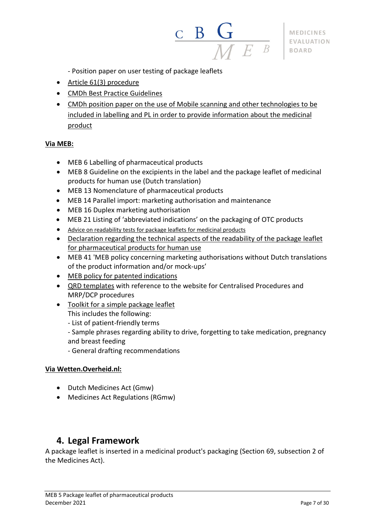

- Position paper on user testing of package leaflets
- Article 61(3) [procedure](http://www.hma.eu/101.html)
- CMDh Best Practice [Guidelines](https://www.hma.eu/90.html)
- CMDh position paper on the use of Mobile scanning and other [technologies](https://www.hma.eu/fileadmin/dateien/Human_Medicines/CMD_h_/procedural_guidance/01_General_Info/CMDh_313_2014_Rev8_12_2018_clean_Mobile_scanning_and_other_technologies.pdf) to be included in labelling and PL in order to provide [information](https://www.hma.eu/fileadmin/dateien/Human_Medicines/CMD_h_/procedural_guidance/01_General_Info/CMDh_313_2014_Rev8_12_2018_clean_Mobile_scanning_and_other_technologies.pdf) about the medicinal [product](https://www.hma.eu/fileadmin/dateien/Human_Medicines/CMD_h_/procedural_guidance/01_General_Info/CMDh_313_2014_Rev8_12_2018_clean_Mobile_scanning_and_other_technologies.pdf)

#### **Via [MEB:](https://www.cbg-meb.nl/)**

- MEB 6 Labelling of pharmaceutical products
- MEB 8 Guideline on the excipients in the label and the package leaflet of medicinal products for human use (Dutch translation)
- MEB 13 Nomenclature of pharmaceutical products
- MEB 14 Parallel import: marketing authorisation and maintenance
- MEB 16 Duplex marketing authorisation
- MEB 21 Listing of 'abbreviated indications' on the packaging of OTC products
- Advice on [readability](https://www.hma.eu/218.html) tests for package leaflets for medicinal products
- [Declaration](https://www.cbg-meb.nl/documenten/formulieren/2020/01/01/verklaring-technische-aspecten-leesbaarheid-bijsluiter) regarding the technical aspects of the readability of the package leaflet for [pharmaceutical](https://www.cbg-meb.nl/documenten/formulieren/2020/01/01/verklaring-technische-aspecten-leesbaarheid-bijsluiter) products for human use
- MEB 41 'MEB policy concerning marketing authorisations without Dutch translations of the product information and/or mock-ups'
- MEB policy for patented [indications](https://www.cbg-meb.nl/onderwerpen/hv-geoctrooieerde-indicatie)
- QRD [templates](https://www.cbg-meb.nl/onderwerpen/hv-qrd-templates) with reference to the website for Centralised Procedures and MRP/DCP procedures
- Toolkit for a simple [package](https://www.cbg-meb.nl/onderwerpen/hv-patientenbijsluiter/toolkit-voor-een-begrijpelijke-bijsluiter) leaflet This includes the following:
	- List of patient-friendly terms
	- Sample phrases regarding ability to drive, forgetting to take medication, pregnancy and breast feeding
	- General drafting recommendations

#### **Via [Wetten.Overheid.nl:](https://wetten.overheid.nl/zoeken)**

- Dutch Medicines Act (Gmw)
- Medicines Act Regulations (RGmw)

## <span id="page-6-0"></span>**4. Legal Framework**

A package leaflet is inserted in a medicinal product's packaging (Section 69, subsection 2 of the Medicines Act).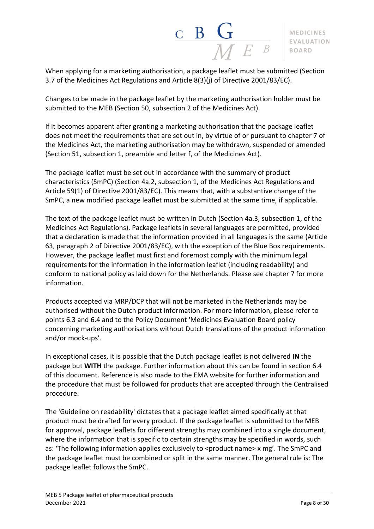

When applying for a marketing authorisation, a package leaflet must be submitted (Section 3.7 of the Medicines Act Regulations and Article 8(3)(j) of Directive 2001/83/EC).

Changes to be made in the package leaflet by the marketing authorisation holder must be submitted to the MEB (Section 50, subsection 2 of the Medicines Act).

If it becomes apparent after granting a marketing authorisation that the package leaflet does not meet the requirements that are set out in, by virtue of or pursuant to chapter 7 of the Medicines Act, the marketing authorisation may be withdrawn, suspended or amended (Section 51, subsection 1, preamble and letter f, of the Medicines Act).

The package leaflet must be set out in accordance with the summary of product characteristics (SmPC) (Section 4a.2, subsection 1, of the Medicines Act Regulations and Article 59(1) of Directive 2001/83/EC). This means that, with a substantive change of the SmPC, a new modified package leaflet must be submitted at the same time, if applicable.

The text of the package leaflet must be written in Dutch (Section 4a.3, subsection 1, of the Medicines Act Regulations). Package leaflets in several languages are permitted, provided that a declaration is made that the information provided in all languages is the same (Article 63, paragraph 2 of Directive 2001/83/EC), with the exception of the Blue Box requirements. However, the package leaflet must first and foremost comply with the minimum legal requirements for the information in the information leaflet (including readability) and conform to national policy as laid down for the Netherlands. Please see chapter 7 for more information.

Products accepted via MRP/DCP that will not be marketed in the Netherlands may be authorised without the Dutch product information. For more information, please refer to points 6.3 and 6.4 and to the Policy Document 'Medicines Evaluation Board policy concerning marketing authorisations without Dutch translations of the product information and/or mock-ups'.

In exceptional cases, it is possible that the Dutch package leaflet is not delivered **IN** the package but **WITH** the package. Further information about this can be found in section 6.4 of this document. Reference is also made to the EMA website for further information and the procedure that must be followed for products that are accepted through the Centralised procedure.

The 'Guideline on readability' dictates that a package leaflet aimed specifically at that product must be drafted for every product. If the package leaflet is submitted to the MEB for approval, package leaflets for different strengths may combined into a single document, where the information that is specific to certain strengths may be specified in words, such as: 'The following information applies exclusively to <product name> x mg'. The SmPC and the package leaflet must be combined or split in the same manner. The general rule is: The package leaflet follows the SmPC.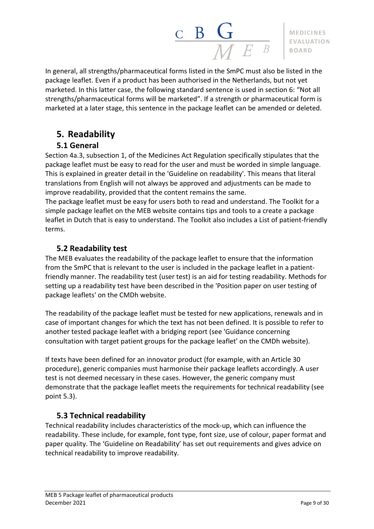

In general, all strengths/pharmaceutical forms listed in the SmPC must also be listed in the package leaflet. Even if a product has been authorised in the Netherlands, but not yet marketed. In this latter case, the following standard sentence is used in section 6: "Not all strengths/pharmaceutical forms will be marketed". If a strength or pharmaceutical form is marketed at a later stage, this sentence in the package leaflet can be amended or deleted.

## <span id="page-8-0"></span>**5. Readability**

## **5.1 General**

<span id="page-8-1"></span>Section 4a.3, subsection 1, of the Medicines Act Regulation specifically stipulates that the package leaflet must be easy to read for the user and must be worded in simple language. This is explained in greater detail in the 'Guideline on readability'. This means that literal translations from English will not always be approved and adjustments can be made to improve readability, provided that the content remains the same.

The package leaflet must be easy for users both to read and understand. The Toolkit for a simple package leaflet on the MEB website contains tips and tools to a create a package leaflet in Dutch that is easy to understand. The Toolkit also includes a List of patient-friendly terms.

## **5.2 Readability test**

<span id="page-8-2"></span>The MEB evaluates the readability of the package leaflet to ensure that the information from the SmPC that is relevant to the user is included in the package leaflet in a patientfriendly manner. The readability test (user test) is an aid for testing readability. Methods for setting up a readability test have been described in the 'Position paper on user testing of package leaflets' on the CMDh website.

The readability of the package leaflet must be tested for new applications, renewals and in case of important changes for which the text has not been defined. It is possible to refer to another tested package leaflet with a bridging report (see 'Guidance concerning consultation with target patient groups for the package leaflet' on the CMDh website).

If texts have been defined for an innovator product (for example, with an Article 30 procedure), generic companies must harmonise their package leaflets accordingly. A user test is not deemed necessary in these cases. However, the generic company must demonstrate that the package leaflet meets the requirements for technical readability (see point 5.3).

## **5.3 Technical readability**

<span id="page-8-3"></span>Technical readability includes characteristics of the mock-up, which can influence the readability. These include, for example, font type, font size, use of colour, paper format and paper quality. The 'Guideline on Readability' has set out requirements and gives advice on technical readability to improve readability.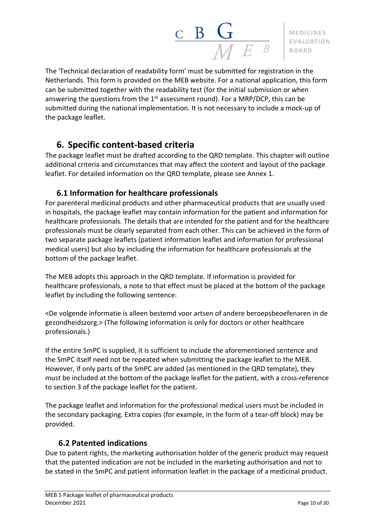

The 'Technical declaration of readability form' must be submitted for registration in the Netherlands. This form is provided on the MEB website. For a national application, this form can be submitted together with the readability test (for the initial submission or when answering the questions from the  $1^\text{st}$  assessment round). For a MRP/DCP, this can be submitted during the national implementation. It is not necessary to include a mock-up of the package leaflet.

## <span id="page-9-0"></span>**6. Specific content-based criteria**

The package leaflet must be drafted according to the QRD template. This chapter will outline additional criteria and circumstances that may affect the content and layout of the package leaflet. For detailed information on the QRD template, please see Annex 1.

## **6.1 Information for healthcare professionals**

<span id="page-9-1"></span>For parenteral medicinal products and other pharmaceutical products that are usually used in hospitals, the package leaflet may contain information for the patient and information for healthcare professionals. The details that are intended for the patient and for the healthcare professionals must be clearly separated from each other. This can be achieved in the form of two separate package leaflets (patient information leaflet and information for professional medical users) but also by including the information for healthcare professionals at the bottom of the package leaflet.

The MEB adopts this approach in the QRD template. If information is provided for healthcare professionals, a note to that effect must be placed at the bottom of the package leaflet by including the following sentence:

<De volgende informatie is alleen bestemd voor artsen of andere beroepsbeoefenaren in de gezondheidszorg.> (The following information is only for doctors or other healthcare professionals.)

If the entire SmPC is supplied, it is sufficient to include the aforementioned sentence and the SmPC itself need not be repeated when submitting the package leaflet to the MEB. However, if only parts of the SmPC are added (as mentioned in the QRD template), they must be included at the bottom of the package leaflet for the patient, with a cross-reference to section 3 of the package leaflet for the patient.

The package leaflet and information for the professional medical users must be included in the secondary packaging. Extra copies (for example, in the form of a tear-off block) may be provided.

## <span id="page-9-2"></span>**6.2 Patented indications**

Due to patent rights, the marketing authorisation holder of the generic product may request that the patented indication are not be included in the marketing authorisation and not to be stated in the SmPC and patient information leaflet in the package of a medicinal product.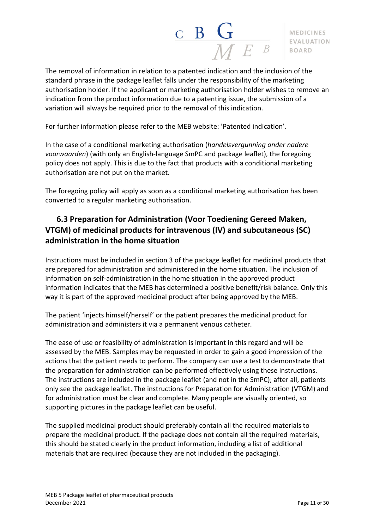

The removal of information in relation to a patented indication and the inclusion of the standard phrase in the package leaflet falls under the responsibility of the marketing authorisation holder. If the applicant or marketing authorisation holder wishes to remove an indication from the product information due to a patenting issue, the submission of a variation will always be required prior to the removal of this indication.

For further information please refer to the MEB website: 'Patented indication'.

In the case of a conditional marketing authorisation (*handelsvergunning onder nadere voorwaarden*) (with only an English-language SmPC and package leaflet), the foregoing policy does not apply. This is due to the fact that products with a conditional marketing authorisation are not put on the market.

The foregoing policy will apply as soon as a conditional marketing authorisation has been converted to a regular marketing authorisation.

## <span id="page-10-0"></span>**6.3 Preparation for Administration (Voor Toediening Gereed Maken, VTGM) of medicinal products for intravenous (IV) and subcutaneous (SC) administration in the home situation**

Instructions must be included in section 3 of the package leaflet for medicinal products that are prepared for administration and administered in the home situation. The inclusion of information on self-administration in the home situation in the approved product information indicates that the MEB has determined a positive benefit/risk balance. Only this way it is part of the approved medicinal product after being approved by the MEB.

The patient 'injects himself/herself' or the patient prepares the medicinal product for administration and administers it via a permanent venous catheter.

The ease of use or feasibility of administration is important in this regard and will be assessed by the MEB. Samples may be requested in order to gain a good impression of the actions that the patient needs to perform. The company can use a test to demonstrate that the preparation for administration can be performed effectively using these instructions. The instructions are included in the package leaflet (and not in the SmPC); after all, patients only see the package leaflet. The instructions for Preparation for Administration (VTGM) and for administration must be clear and complete. Many people are visually oriented, so supporting pictures in the package leaflet can be useful.

The supplied medicinal product should preferably contain all the required materials to prepare the medicinal product. If the package does not contain all the required materials, this should be stated clearly in the product information, including a list of additional materials that are required (because they are not included in the packaging).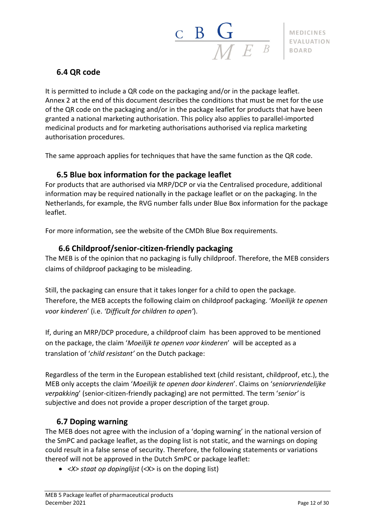## <span id="page-11-0"></span>**6.4 QR code**

It is permitted to include a QR code on the packaging and/or in the package leaflet. Annex 2 at the end of this document describes the conditions that must be met for the use of the QR code on the packaging and/or in the package leaflet for products that have been granted a national marketing authorisation. This policy also applies to parallel-imported medicinal products and for marketing authorisations authorised via replica marketing authorisation procedures.

The same approach applies for techniques that have the same function as the QR code.

## **6.5 Blue box information for the package leaflet**

<span id="page-11-1"></span>For products that are authorised via MRP/DCP or via the Centralised procedure, additional information may be required nationally in the package leaflet or on the packaging. In the Netherlands, for example, the RVG number falls under Blue Box information for the package leaflet.

For more information, see the website of the CMDh Blue Box requirements.

## <span id="page-11-2"></span>**6.6 Childproof/senior-citizen-friendly packaging**

The MEB is of the opinion that no packaging is fully childproof. Therefore, the MEB considers claims of childproof packaging to be misleading.

Still, the packaging can ensure that it takes longer for a child to open the package. Therefore, the MEB accepts the following claim on childproof packaging. '*Moeilijk te openen voor kinderen*' (i.e. *'Difficult for children to open'*).

If, during an MRP/DCP procedure, a childproof claim has been approved to be mentioned on the package, the claim '*Moeilijk te openen voor kinderen*' will be accepted as a translation of '*child resistant'* on the Dutch package:

Regardless of the term in the European established text (child resistant, childproof, etc.), the MEB only accepts the claim '*Moeilijk te openen door kinderen*'. Claims on '*seniorvriendelijke verpakking*' (senior-citizen-friendly packaging) are not permitted. The term '*senior'* is subjective and does not provide a proper description of the target group.

## **6.7 Doping warning**

<span id="page-11-3"></span>The MEB does not agree with the inclusion of a 'doping warning' in the national version of the SmPC and package leaflet, as the doping list is not static, and the warnings on doping could result in a false sense of security. Therefore, the following statements or variations thereof will not be approved in the Dutch SmPC or package leaflet:

• *<X> staat op dopinglijst* (<X> is on the doping list)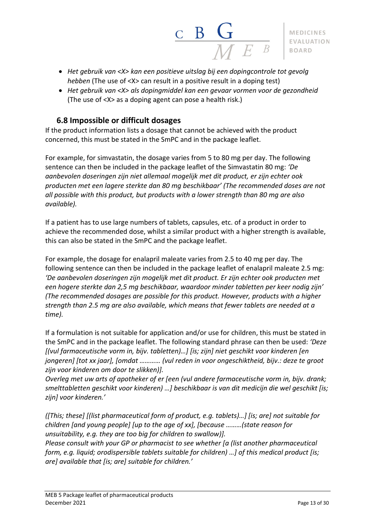

- *Het gebruik van <X> kan een positieve uitslag bij een dopingcontrole tot gevolg hebben* (The use of <X> can result in a positive result in a doping test)
- *Het gebruik van <X> als dopingmiddel kan een gevaar vormen voor de gezondheid* (The use of <X> as a doping agent can pose a health risk.)

## **6.8 Impossible or difficult dosages**

<span id="page-12-0"></span>If the product information lists a dosage that cannot be achieved with the product concerned, this must be stated in the SmPC and in the package leaflet.

For example, for simvastatin, the dosage varies from 5 to 80 mg per day. The following sentence can then be included in the package leaflet of the Simvastatin 80 mg: *'De aanbevolen doseringen zijn niet allemaal mogelijk met dit product, er zijn echter ook producten met een lagere sterkte dan 80 mg beschikbaar' (The recommended doses are not all possible with this product, but products with a lower strength than 80 mg are also available).*

If a patient has to use large numbers of tablets, capsules, etc. of a product in order to achieve the recommended dose, whilst a similar product with a higher strength is available, this can also be stated in the SmPC and the package leaflet.

For example, the dosage for enalapril maleate varies from 2.5 to 40 mg per day. The following sentence can then be included in the package leaflet of enalapril maleate 2.5 mg: *'De aanbevolen doseringen zijn mogelijk met dit product. Er zijn echter ook producten met een hogere sterkte dan 2,5 mg beschikbaar, waardoor minder tabletten per keer nodig zijn' (The recommended dosages are possible for this product. However, products with a higher strength than 2.5 mg are also available, which means that fewer tablets are needed at a time).*

If a formulation is not suitable for application and/or use for children, this must be stated in the SmPC and in the package leaflet. The following standard phrase can then be used: *'Deze [(vul farmaceutische vorm in, bijv. tabletten)…] [is; zijn] niet geschikt voor kinderen [en jongeren] [tot xx jaar], [omdat ………… (vul reden in voor ongeschiktheid, bijv.: deze te groot zijn voor kinderen om door te slikken)].*

*Overleg met uw arts of apotheker of er [een (vul andere farmaceutische vorm in, bijv. drank; smelttabletten geschikt voor kinderen) …] beschikbaar is van dit medicijn die wel geschikt [is; zijn] voor kinderen.'*

*([This; these] [(list pharmaceutical form of product, e.g. tablets)…] [is; are] not suitable for children [and young people] [up to the age of xx], [because ………(state reason for unsuitability, e.g. they are too big for children to swallow)]. Please consult with your GP or pharmacist to see whether [a (list another pharmaceutical form, e.g. liquid; orodispersible tablets suitable for children) …] of this medical product [is; are] available that [is; are] suitable for children.'*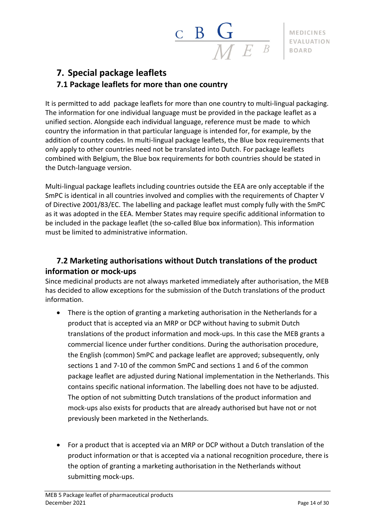

## <span id="page-13-1"></span><span id="page-13-0"></span>**7. Special package leaflets 7.1 Package leaflets for more than one country**

It is permitted to add package leaflets for more than one country to multi-lingual packaging. The information for one individual language must be provided in the package leaflet as a unified section. Alongside each individual language, reference must be made to which country the information in that particular language is intended for, for example, by the addition of country codes. In multi-lingual package leaflets, the Blue box requirements that only apply to other countries need not be translated into Dutch. For package leaflets combined with Belgium, the Blue box requirements for both countries should be stated in the Dutch-language version.

Multi-lingual package leaflets including countries outside the EEA are only acceptable if the SmPC is identical in all countries involved and complies with the requirements of Chapter V of Directive 2001/83/EC. The labelling and package leaflet must comply fully with the SmPC as it was adopted in the EEA. Member States may require specific additional information to be included in the package leaflet (the so-called Blue box information). This information must be limited to administrative information.

## <span id="page-13-2"></span>**7.2 Marketing authorisations without Dutch translations of the product information or mock-ups**

Since medicinal products are not always marketed immediately after authorisation, the MEB has decided to allow exceptions for the submission of the Dutch translations of the product information.

- There is the option of granting a marketing authorisation in the Netherlands for a product that is accepted via an MRP or DCP without having to submit Dutch translations of the product information and mock-ups. In this case the MEB grants a commercial licence under further conditions. During the authorisation procedure, the English (common) SmPC and package leaflet are approved; subsequently, only sections 1 and 7-10 of the common SmPC and sections 1 and 6 of the common package leaflet are adjusted during National implementation in the Netherlands. This contains specific national information. The labelling does not have to be adjusted. The option of not submitting Dutch translations of the product information and mock-ups also exists for products that are already authorised but have not or not previously been marketed in the Netherlands.
- For a product that is accepted via an MRP or DCP without a Dutch translation of the product information or that is accepted via a national recognition procedure, there is the option of granting a marketing authorisation in the Netherlands without submitting mock-ups.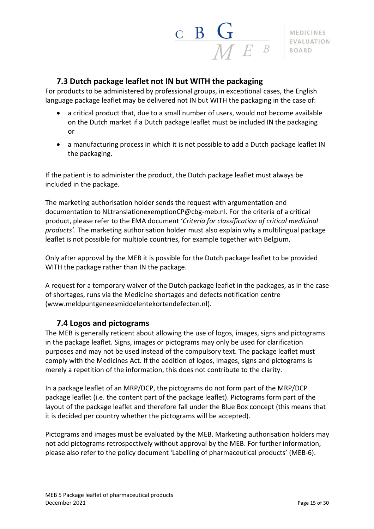## $\frac{\mathbf{C}}{\mathbf{B}} \frac{\mathbf{G}}{\mathbf{M} E}$

## **7.3 Dutch package leaflet not IN but WITH the packaging**

<span id="page-14-0"></span>For products to be administered by professional groups, in exceptional cases, the English language package leaflet may be delivered not IN but WITH the packaging in the case of:

- a critical product that, due to a small number of users, would not become available on the Dutch market if a Dutch package leaflet must be included IN the packaging or
- a manufacturing process in which it is not possible to add a Dutch package leaflet IN the packaging.

If the patient is to administer the product, the Dutch package leaflet must always be included in the package.

The marketing authorisation holder sends the request with argumentation and documentation to [NLtranslationexemptionCP@cbg-meb.nl.](mailto:NLtranslationexemptionCP@cbg-meb.nl) For the criteria of a critical product, please refer to the EMA document '*Criteria for [classification](http://www.ema.europa.eu/docs/en_GB/document_library/Other/2014/01/WC500159381.pdf) of critical medicinal [products'](http://www.ema.europa.eu/docs/en_GB/document_library/Other/2014/01/WC500159381.pdf)*. The marketing authorisation holder must also explain why a multilingual package leaflet is not possible for multiple countries, for example together with Belgium.

Only after approval by the MEB it is possible for the Dutch package leaflet to be provided WITH the package rather than IN the package.

A request for a temporary waiver of the Dutch package leaflet in the packages, as in the case of shortages, runs via the Medicine shortages and defects notification centre [\(www.meldpuntgeneesmiddelentekortendefecten.nl\)](https://www.meldpuntgeneesmiddelentekortendefecten.nl/).

## **7.4 Logos and pictograms**

<span id="page-14-1"></span>The MEB is generally reticent about allowing the use of logos, images, signs and pictograms in the package leaflet. Signs, images or pictograms may only be used for clarification purposes and may not be used instead of the compulsory text. The package leaflet must comply with the Medicines Act. If the addition of logos, images, signs and pictograms is merely a repetition of the information, this does not contribute to the clarity.

In a package leaflet of an MRP/DCP, the pictograms do not form part of the MRP/DCP package leaflet (i.e. the content part of the package leaflet). Pictograms form part of the layout of the package leaflet and therefore fall under the Blue Box concept (this means that it is decided per country whether the pictograms will be accepted).

Pictograms and images must be evaluated by the MEB. Marketing authorisation holders may not add pictograms retrospectively without approval by the MEB. For further information, please also refer to the policy document 'Labelling of pharmaceutical products' (MEB-6).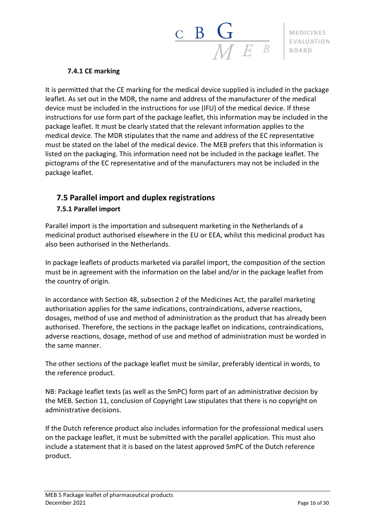

#### **7.4.1 CE marking**

<span id="page-15-0"></span>It is permitted that the CE marking for the medical device supplied is included in the package leaflet. As set out in the MDR, the name and address of the manufacturer of the medical device must be included in the instructions for use (IFU) of the medical device. If these instructions for use form part of the package leaflet, this information may be included in the package leaflet. It must be clearly stated that the relevant information applies to the medical device. The MDR stipulates that the name and address of the EC representative must be stated on the label of the medical device. The MEB prefers that this information is listed on the packaging. This information need not be included in the package leaflet. The pictograms of the EC representative and of the manufacturers may not be included in the package leaflet.

## <span id="page-15-1"></span>**7.5 Parallel import and duplex registrations**

## <span id="page-15-2"></span>**7.5.1 Parallel import**

Parallel import is the importation and subsequent marketing in the Netherlands of a medicinal product authorised elsewhere in the EU or EEA, whilst this medicinal product has also been authorised in the Netherlands.

In package leaflets of products marketed via parallel import, the composition of the section must be in agreement with the information on the label and/or in the package leaflet from the country of origin.

In accordance with Section 48, subsection 2 of the Medicines Act, the parallel marketing authorisation applies for the same indications, contraindications, adverse reactions, dosages, method of use and method of administration as the product that has already been authorised. Therefore, the sections in the package leaflet on indications, contraindications, adverse reactions, dosage, method of use and method of administration must be worded in the same manner.

The other sections of the package leaflet must be similar, preferably identical in words, to the reference product.

NB: Package leaflet texts (as well as the SmPC) form part of an administrative decision by the MEB. Section 11, conclusion of Copyright Law stipulates that there is no copyright on administrative decisions.

If the Dutch reference product also includes information for the professional medical users on the package leaflet, it must be submitted with the parallel application. This must also include a statement that it is based on the latest approved SmPC of the Dutch reference product.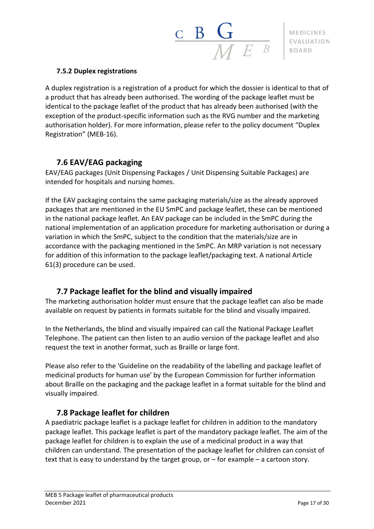

#### <span id="page-16-0"></span>**7.5.2 Duplex registrations**

A duplex registration is a registration of a product for which the dossier is identical to that of a product that has already been authorised. The wording of the package leaflet must be identical to the package leaflet of the product that has already been authorised (with the exception of the product-specific information such as the RVG number and the marketing authorisation holder). For more information, please refer to the policy document "Duplex Registration" (MEB-16).

## **7.6 EAV/EAG packaging**

<span id="page-16-1"></span>EAV/EAG packages (Unit Dispensing Packages / Unit Dispensing Suitable Packages) are intended for hospitals and nursing homes.

If the EAV packaging contains the same packaging materials/size as the already approved packages that are mentioned in the EU SmPC and package leaflet, these can be mentioned in the national package leaflet. An EAV package can be included in the SmPC during the national implementation of an application procedure for marketing authorisation or during a variation in which the SmPC, subject to the condition that the materials/size are in accordance with the packaging mentioned in the SmPC. An MRP variation is not necessary for addition of this information to the package leaflet/packaging text. A national Article 61(3) procedure can be used.

## **7.7 Package leaflet for the blind and visually impaired**

<span id="page-16-2"></span>The marketing authorisation holder must ensure that the package leaflet can also be made available on request by patients in formats suitable for the blind and visually impaired.

In the Netherlands, the blind and visually impaired can call the National Package Leaflet Telephone. The patient can then listen to an audio version of the package leaflet and also request the text in another format, such as Braille or large font.

Please also refer to the 'Guideline on the readability of the labelling and package leaflet of medicinal products for human use' by the European Commission for further information about Braille on the packaging and the package leaflet in a format suitable for the blind and visually impaired.

## **7.8 Package leaflet for children**

<span id="page-16-3"></span>A paediatric package leaflet is a package leaflet for children in addition to the mandatory package leaflet. This package leaflet is part of the mandatory package leaflet. The aim of the package leaflet for children is to explain the use of a medicinal product in a way that children can understand. The presentation of the package leaflet for children can consist of text that is easy to understand by the target group, or – for example – a cartoon story.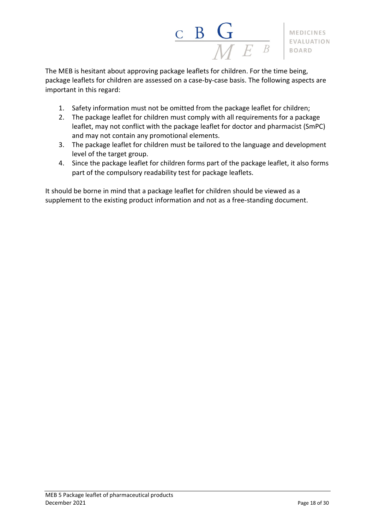

The MEB is hesitant about approving package leaflets for children. For the time being, package leaflets for children are assessed on a case-by-case basis. The following aspects are important in this regard:

- 1. Safety information must not be omitted from the package leaflet for children;
- 2. The package leaflet for children must comply with all requirements for a package leaflet, may not conflict with the package leaflet for doctor and pharmacist (SmPC) and may not contain any promotional elements.
- 3. The package leaflet for children must be tailored to the language and development level of the target group.
- 4. Since the package leaflet for children forms part of the package leaflet, it also forms part of the compulsory readability test for package leaflets.

It should be borne in mind that a package leaflet for children should be viewed as a supplement to the existing product information and not as a free-standing document.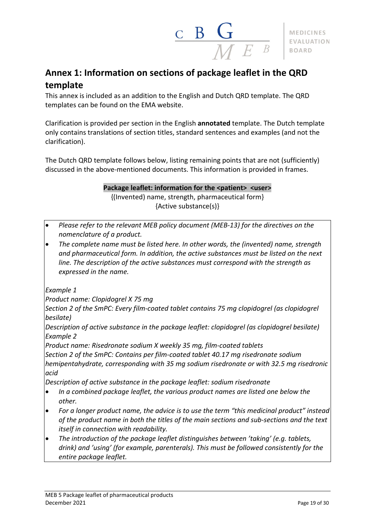

## <span id="page-18-0"></span>**Annex 1: Information on sections of package leaflet in the QRD template**

This annex is included as an addition to the English and Dutch QRD template. The QRD templates can be found on the EMA website.

Clarification is provided per section in the English **annotated** template. The Dutch template only contains translations of section titles, standard sentences and examples (and not the clarification).

The Dutch QRD template follows below, listing remaining points that are not (sufficiently) discussed in the above-mentioned documents. This information is provided in frames.

> **Package leaflet: information for the <patient> <user>** {(Invented) name, strength, pharmaceutical form} {Active substance(s)}

- *Please refer to the relevant MEB policy document (MEB-13) for the directives on the nomenclature of a product.*
- *The complete name must be listed here. In other words, the (invented) name, strength and pharmaceutical form. In addition, the active substances must be listed on the next line. The description of the active substances must correspond with the strength as expressed in the name.*

*Example 1*

*Product name: Clopidogrel X 75 mg*

*Section 2 of the SmPC: Every film-coated tablet contains 75 mg clopidogrel (as clopidogrel besilate)*

*Description of active substance in the package leaflet: clopidogrel (as clopidogrel besilate) Example 2*

*Product name: Risedronate sodium X weekly 35 mg, film-coated tablets*

*Section 2 of the SmPC: Contains per film-coated tablet 40.17 mg risedronate sodium hemipentahydrate, corresponding with 35 mg sodium risedronate or with 32.5 mg risedronic acid*

*Description of active substance in the package leaflet: sodium risedronate*

- *In a combined package leaflet, the various product names are listed one below the other.*
- *For a longer product name, the advice is to use the term "this medicinal product" instead of the product name in both the titles of the main sections and sub-sections and the text itself in connection with readability.*
- *The introduction of the package leaflet distinguishes between 'taking' (e.g. tablets, drink) and 'using' (for example, parenterals). This must be followed consistently for the entire package leaflet.*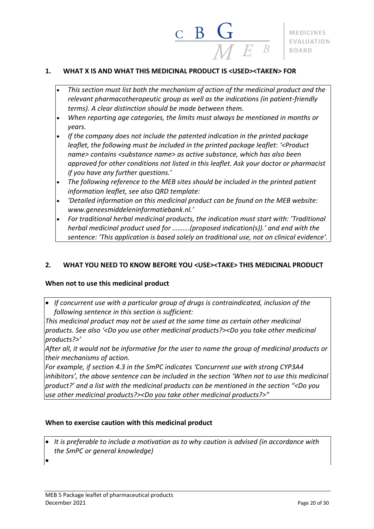#### **1. WHAT X IS AND WHAT THIS MEDICINAL PRODUCT IS <USED><TAKEN> FOR**

• *This section must list both the mechanism of action of the medicinal product and the relevant pharmacotherapeutic group as well as the indications (in patient-friendly terms). A clear distinction should be made between them.*

B

- *When reporting age categories, the limits must always be mentioned in months or years.*
- *If the company does not include the patented indication in the printed package leaflet, the following must be included in the printed package leaflet*: *'<Product name> contains <substance name> as active substance, which has also been approved for other conditions not listed in this leaflet. Ask your doctor or pharmacist if you have any further questions.'*
- *The following reference to the MEB sites should be included in the printed patient information leaflet, see also QRD template:*
- *'Detailed information on this medicinal product can be found on the MEB website: www.geneesmiddeleninformatiebank.nl.'*
- *For traditional herbal medicinal products, the indication must start with: 'Traditional herbal medicinal product used for ……….(proposed indication(s)).' and end with the sentence: 'This application is based solely on traditional use, not on clinical evidence'.*

#### **2. WHAT YOU NEED TO KNOW BEFORE YOU <USE><TAKE> THIS MEDICINAL PRODUCT**

#### **When not to use this medicinal product**

• *If concurrent use with a particular group of drugs is contraindicated, inclusion of the following sentence in this section is sufficient:*

*This medicinal product may not be used at the same time as certain other medicinal products. See also '<Do you use other medicinal products?><Do you take other medicinal products?>'*

*After all, it would not be informative for the user to name the group of medicinal products or their mechanisms of action.*

*For example, if section 4.3 in the SmPC indicates 'Concurrent use with strong CYP3A4* inhibitors', the above sentence can be included in the section 'When not to use this medicinal *product?' and a list with the medicinal products can be mentioned in the section "<Do you use other medicinal products?><Do you take other medicinal products?>"*

#### **When to exercise caution with this medicinal product**

- *It is preferable to include a motivation as to why caution is advised (in accordance with the SmPC or general knowledge)*
- •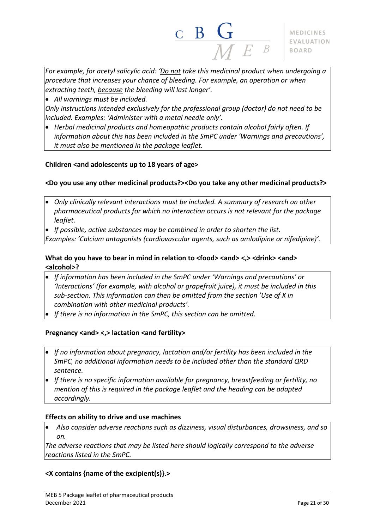

*For example, for acetyl salicylic acid: 'Do not take this medicinal product when undergoing a procedure that increases your chance of bleeding. For example, an operation or when extracting teeth, because the bleeding will last longer'.*

• *All warnings must be included.*

*Only instructions intended exclusively for the professional group (doctor) do not need to be included. Examples: 'Administer with a metal needle only'.*

• *Herbal medicinal products and homeopathic products contain alcohol fairly often. If information about this has been included in the SmPC under 'Warnings and precautions', it must also be mentioned in the package leaflet.*

#### **Children <and adolescents up to 18 years of age>**

#### **<Do you use any other medicinal products?><Do you take any other medicinal products?>**

- *Only clinically relevant interactions must be included. A summary of research on other pharmaceutical products for which no interaction occurs is not relevant for the package leaflet.*
- *If possible, active substances may be combined in order to shorten the list. Examples: 'Calcium antagonists (cardiovascular agents, such as amlodipine or nifedipine)'.*

#### **What do you have to bear in mind in relation to <food> <and> <,> <drink> <and> <alcohol>?**

- *If information has been included in the SmPC under 'Warnings and precautions' or 'Interactions' (for example, with alcohol or grapefruit juice), it must be included in this sub-section. This information can then be omitted from the section 'Use of X in combination with other medicinal products'.*
- *If there is no information in the SmPC, this section can be omitted.*

#### **Pregnancy <and> <,> lactation <and fertility>**

- *If no information about pregnancy, lactation and/or fertility has been included in the SmPC, no additional information needs to be included other than the standard QRD sentence.*
- *If there is no specific information available for pregnancy, breastfeeding or fertility, no mention of this is required in the package leaflet and the heading can be adapted accordingly.*

#### **Effects on ability to drive and use machines**

• *Also consider adverse reactions such as dizziness, visual disturbances, drowsiness, and so on.*

*The adverse reactions that may be listed here should logically correspond to the adverse reactions listed in the SmPC.*

## **<X contains {name of the excipient(s)}.>**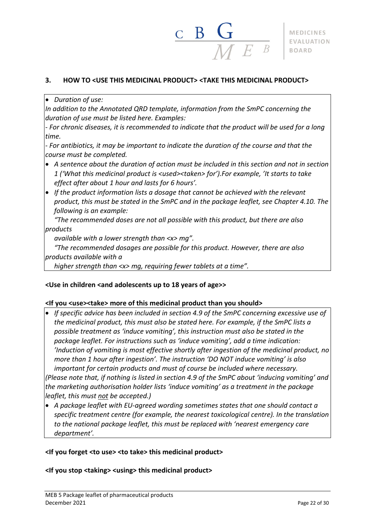## **3. HOW TO <USE THIS MEDICINAL PRODUCT> <TAKE THIS MEDICINAL PRODUCT>**

#### • *Duration of use:*

*In addition to the Annotated QRD template, information from the SmPC concerning the duration of use must be listed here. Examples:*

*- For chronic diseases, it is recommended to indicate that the product will be used for a long time.*

*- For antibiotics, it may be important to indicate the duration of the course and that the course must be completed.*

- *A sentence about the duration of action must be included in this section and not in section 1 ('What this medicinal product is <used><taken> for').For example, 'It starts to take effect after about 1 hour and lasts for 6 hours'.*
- *If the product information lists a dosage that cannot be achieved with the relevant product, this must be stated in the SmPC and in the package leaflet, see Chapter 4.10. The following is an example:*

*"The recommended doses are not all possible with this product, but there are also products*

*available with a lower strength than <x> mg".*

*"The recommended dosages are possible for this product. However, there are also products available with a*

*higher strength than <x> mg, requiring fewer tablets at a time".*

#### **<Use in children <and adolescents up to 18 years of age>>**

#### **<If you <use><take> more of this medicinal product than you should>**

- *If specific advice has been included in section 4.9 of the SmPC concerning excessive use of the medicinal product, this must also be stated here. For example, if the SmPC lists a possible treatment as 'induce vomiting', this instruction must also be stated in the package leaflet. For instructions such as 'induce vomiting', add a time indication: 'Induction of vomiting is most effective shortly after ingestion of the medicinal product, no more than 1 hour after ingestion'. The instruction 'DO NOT induce vomiting' is also important for certain products and must of course be included where necessary.* (Please note that, if nothing is listed in section 4.9 of the SmPC about 'inducing vomiting' and *the marketing authorisation holder lists 'induce vomiting' as a treatment in the package leaflet, this must not be accepted.)*
- *A package leaflet with EU-agreed wording sometimes states that one should contact a specific treatment centre (for example, the nearest toxicological centre). In the translation to the national package leaflet, this must be replaced with 'nearest emergency care department'.*

#### **<If you forget <to use> <to take> this medicinal product>**

#### **<If you stop <taking> <using> this medicinal product>**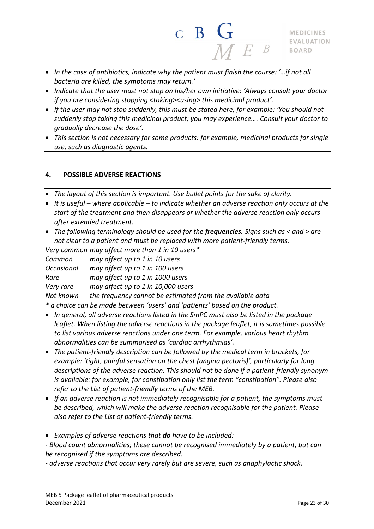- *In the case of antibiotics, indicate why the patient must finish the course: '…if not all bacteria are killed, the symptoms may return.'*
- *Indicate that the user must not stop on his/her own initiative: 'Always consult your doctor if you are considering stopping <taking><using> this medicinal product'.*
- *If the user may not stop suddenly, this must be stated here, for example: 'You should not suddenly stop taking this medicinal product; you may experience…. Consult your doctor to gradually decrease the dose'.*
- *This section is not necessary for some products: for example, medicinal products for single use, such as diagnostic agents.*

## **4. POSSIBLE ADVERSE REACTIONS**

- *The layout of this section is important. Use bullet points for the sake of clarity.*
- *It is useful – where applicable – to indicate whether an adverse reaction only occurs at the start of the treatment and then disappears or whether the adverse reaction only occurs after extended treatment.*
- *The following terminology should be used for the frequencies. Signs such as < and > are not clear to a patient and must be replaced with more patient-friendly terms.*

*Very common may affect more than 1 in 10 users\**

| Common     | may affect up to 1 in 10 users                            |
|------------|-----------------------------------------------------------|
| Occasional | may affect up to 1 in 100 users                           |
| Rare       | may affect up to 1 in 1000 users                          |
| Very rare  | may affect up to 1 in 10,000 users                        |
| Not known  | the frequency cannot be estimated from the available data |
|            |                                                           |

*\* a choice can be made between 'users' and 'patients' based on the product.*

- *In general, all adverse reactions listed in the SmPC must also be listed in the package leaflet. When listing the adverse reactions in the package leaflet, it is sometimes possible to list various adverse reactions under one term. For example, various heart rhythm abnormalities can be summarised as 'cardiac arrhythmias'.*
- *The patient-friendly description can be followed by the medical term in brackets, for example: 'tight, painful sensation on the chest (angina pectoris)', particularly for long descriptions of the adverse reaction. This should not be done if a patient-friendly synonym is available: for example, for constipation only list the term "constipation". Please also refer to the List of patient-friendly terms of the MEB.*
- *If an adverse reaction is not immediately recognisable for a patient, the symptoms must be described, which will make the adverse reaction recognisable for the patient. Please also refer to the List of patient-friendly terms.*

• *Examples of adverse reactions that do have to be included:*

*- Blood count abnormalities; these cannot be recognised immediately by a patient, but can be recognised if the symptoms are described.*

*- adverse reactions that occur very rarely but are severe, such as anaphylactic shock.*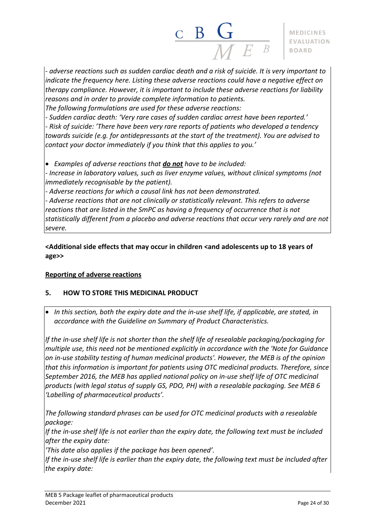

*- adverse reactions such as sudden cardiac death and a risk of suicide. It is very important to indicate the frequency here. Listing these adverse reactions could have a negative effect on therapy compliance. However, it is important to include these adverse reactions for liability reasons and in order to provide complete information to patients.*

*The following formulations are used for these adverse reactions:*

*- Sudden cardiac death: 'Very rare cases of sudden cardiac arrest have been reported.' - Risk of suicide: 'There have been very rare reports of patients who developed a tendency towards suicide (e.g. for antidepressants at the start of the treatment). You are advised to contact your doctor immediately if you think that this applies to you.'*

• *Examples of adverse reactions that do not have to be included:*

*- Increase in laboratory values, such as liver enzyme values, without clinical symptoms (not immediately recognisable by the patient).*

*- Adverse reactions for which a causal link has not been demonstrated.*

*- Adverse reactions that are not clinically or statistically relevant. This refers to adverse reactions that are listed in the SmPC as having a frequency of occurrence that is not statistically different from a placebo and adverse reactions that occur very rarely and are not severe.*

**<Additional side effects that may occur in children <and adolescents up to 18 years of age>>**

## **Reporting of adverse reactions**

## **5. HOW TO STORE THIS MEDICINAL PRODUCT**

• *In this section, both the expiry date and the in-use shelf life, if applicable, are stated, in accordance with the Guideline on Summary of Product Characteristics.*

*If the in-use shelf life is not shorter than the shelf life of resealable packaging/packaging for multiple use, this need not be mentioned explicitly in accordance with the 'Note for Guidance on in-use stability testing of human medicinal products'. However, the MEB is of the opinion that this information is important for patients using OTC medicinal products. Therefore, since September 2016, the MEB has applied national policy on in-use shelf life of OTC medicinal products (with legal status of supply GS, PDO, PH) with a resealable packaging. See MEB 6 'Labelling of pharmaceutical products'.*

*The following standard phrases can be used for OTC medicinal products with a resealable package:*

*If the in-use shelf life is not earlier than the expiry date, the following text must be included after the expiry date:*

*'This date also applies if the package has been opened'.*

If the in-use shelf life is earlier than the expiry date, the following text must be included after *the expiry date:*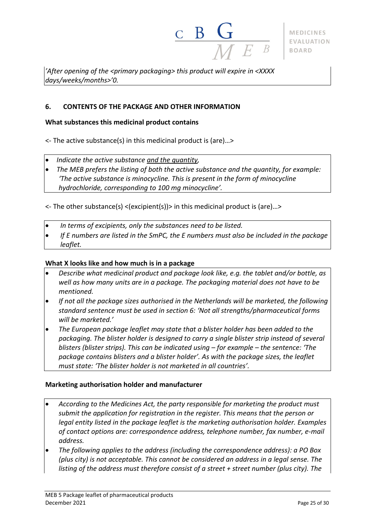

*'After opening of the <primary packaging> this product will expire in <XXXX days/weeks/months>'0.*

#### **6. CONTENTS OF THE PACKAGE AND OTHER INFORMATION**

#### **What substances this medicinal product contains**

<- The active substance(s) in this medicinal product is (are)…>

- *Indicate the active substance and the quantity,*
- *The MEB prefers the listing of both the active substance and the quantity, for example: 'The active substance is minocycline. This is present in the form of minocycline hydrochloride, corresponding to 100 mg minocycline'.*

 $\le$  The other substance(s)  $\le$  (excipient(s)) in this medicinal product is (are)...>

- *In terms of excipients, only the substances need to be listed.*
- *If E numbers are listed in the SmPC, the E numbers must also be included in the package leaflet.*

#### **What X looks like and how much is in a package**

- *Describe what medicinal product and package look like, e.g. the tablet and/or bottle, as well as how many units are in a package. The packaging material does not have to be mentioned.*
- *If not all the package sizes authorised in the Netherlands will be marketed, the following standard sentence must be used in section 6: 'Not all strengths/pharmaceutical forms will be marketed.'*
- *The European package leaflet may state that a blister holder has been added to the packaging. The blister holder is designed to carry a single blister strip instead of several blisters (blister strips). This can be indicated using – for example – the sentence: 'The package contains blisters and a blister holder'. As with the package sizes, the leaflet must state: 'The blister holder is not marketed in all countries'.*

#### **Marketing authorisation holder and manufacturer**

- *According to the Medicines Act, the party responsible for marketing the product must submit the application for registration in the register. This means that the person or legal entity listed in the package leaflet is the marketing authorisation holder. Examples of contact options are: correspondence address, telephone number, fax number, e-mail address.*
- *The following applies to the address (including the correspondence address): a PO Box (plus city) is not acceptable. This cannot be considered an address in a legal sense. The listing of the address must therefore consist of a street + street number (plus city). The*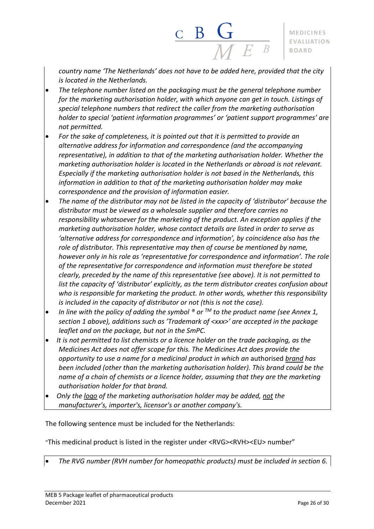*country name 'The Netherlands' does not have to be added here, provided that the city is located in the Netherlands.*

 $\frac{c}{M}$  B  $\frac{C}{M}$ 

- *The telephone number listed on the packaging must be the general telephone number for the marketing authorisation holder, with which anyone can get in touch. Listings of special telephone numbers that redirect the caller from the marketing authorisation holder to special 'patient information programmes' or 'patient support programmes' are not permitted.*
- *For the sake of completeness, it is pointed out that it is permitted to provide an alternative address for information and correspondence (and the accompanying representative), in addition to that of the marketing authorisation holder. Whether the marketing authorisation holder is located in the Netherlands or abroad is not relevant. Especially if the marketing authorisation holder is not based in the Netherlands, this information in addition to that of the marketing authorisation holder may make correspondence and the provision of information easier.*
- *The name of the distributor may not be listed in the capacity of 'distributor' because the distributor must be viewed as a wholesale supplier and therefore carries no responsibility whatsoever for the marketing of the product. An exception applies if the marketing authorisation holder, whose contact details are listed in order to serve as 'alternative address for correspondence and information', by coincidence also has the role of distributor. This representative may then of course be mentioned by name, however only in his role as 'representative for correspondence and information'. The role of the representative for correspondence and information must therefore be stated clearly, preceded by the name of this representative (see above). It is not permitted to list the capacity of 'distributor' explicitly, as the term distributor creates confusion about who is responsible for marketing the product. In other words, whether this responsibility is included in the capacity of distributor or not (this is not the case).*
- *In line with the policy of adding the symbol ® or TM to the product name (see Annex 1, section 1 above), additions such as 'Trademark of <xxx>' are accepted in the package leaflet and on the package, but not in the SmPC.*
- *It is not permitted to list chemists or a licence holder on the trade packaging, as the Medicines Act does not offer scope for this. The Medicines Act does provide the opportunity to use a name for a medicinal product in which an* authorised *brand has been included (other than the marketing authorisation holder). This brand could be the name of a chain of chemists or a licence holder, assuming that they are the marketing authorisation holder for that brand.*
- *Only the logo of the marketing authorisation holder may be added, not the manufacturer's, importer's, licensor's or another company's.*

The following sentence must be included for the Netherlands:

"This medicinal product is listed in the register under <RVG><RVH><EU> number"

• *The RVG number (RVH number for homeopathic products) must be included in section 6.*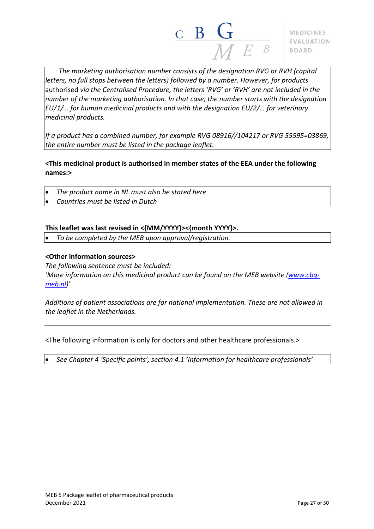

*The marketing authorisation number consists of the designation RVG or RVH (capital letters, no full stops between the letters) followed by a number. However, for products* authorised *via the Centralised Procedure, the letters 'RVG' or 'RVH' are not included in the number of the marketing authorisation. In that case, the number starts with the designation EU/1/… for human medicinal products and with the designation EU/2/… for veterinary medicinal products.*

*If a product has a combined number, for example RVG 08916//104217 or RVG 55595=03869, the entire number must be listed in the package leaflet.*

**<This medicinal product is authorised in member states of the EEA under the following names:>**

- *The product name in NL must also be stated here*
- *Countries must be listed in Dutch*

#### **This leaflet was last revised in <{MM/YYYY}><{month YYYY}>.**

• *To be completed by the MEB upon approval/registration.*

#### **<Other information sources>**

*The following sentence must be included: 'More information on this medicinal product can be found on the MEB website [\(www.cbg](http://www.cbg-meb.nl/)[meb.nl\)](http://www.cbg-meb.nl/)'*

*Additions of patient associations are for national implementation. These are not allowed in the leaflet in the Netherlands.*

<The following information is only for doctors and other healthcare professionals.>

• *See Chapter 4 'Specific points', section 4.1 'Information for healthcare professionals'*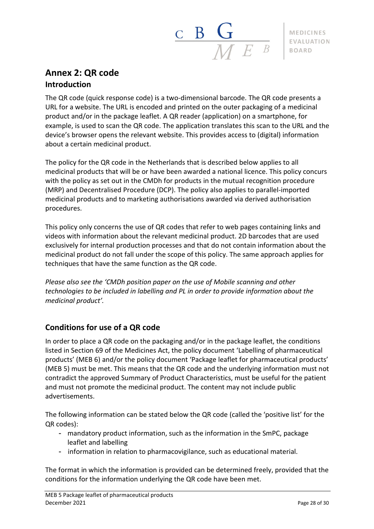

## <span id="page-27-0"></span>**Annex 2: QR code Introduction**

The QR code (quick response code) is a two-dimensional barcode. The QR code presents a URL for a website. The URL is encoded and printed on the outer packaging of a medicinal product and/or in the package leaflet. A QR reader (application) on a smartphone, for example, is used to scan the QR code. The application translates this scan to the URL and the device's browser opens the relevant website. This provides access to (digital) information about a certain medicinal product.

The policy for the QR code in the Netherlands that is described below applies to all medicinal products that will be or have been awarded a national licence. This policy concurs with the policy as set out in the CMDh for products in the mutual recognition procedure (MRP) and Decentralised Procedure (DCP). The policy also applies to parallel-imported medicinal products and to marketing authorisations awarded via derived authorisation procedures.

This policy only concerns the use of QR codes that refer to web pages containing links and videos with information about the relevant medicinal product. 2D barcodes that are used exclusively for internal production processes and that do not contain information about the medicinal product do not fall under the scope of this policy. The same approach applies for techniques that have the same function as the QR code.

*Please also see the 'CMDh position paper on the use of Mobile scanning and other technologies to be included in labelling and PL in order to provide information about the medicinal product'.*

## **Conditions for use of a QR code**

In order to place a QR code on the packaging and/or in the package leaflet, the conditions listed in Section 69 of the Medicines Act, the policy document 'Labelling of pharmaceutical products' (MEB 6) and/or the policy document 'Package leaflet for pharmaceutical products' (MEB 5) must be met. This means that the QR code and the underlying information must not contradict the approved Summary of Product Characteristics, must be useful for the patient and must not promote the medicinal product. The content may not include public advertisements.

The following information can be stated below the QR code (called the 'positive list' for the QR codes):

- mandatory product information, such as the information in the SmPC, package leaflet and labelling
- information in relation to pharmacovigilance, such as educational material.

The format in which the information is provided can be determined freely, provided that the conditions for the information underlying the QR code have been met.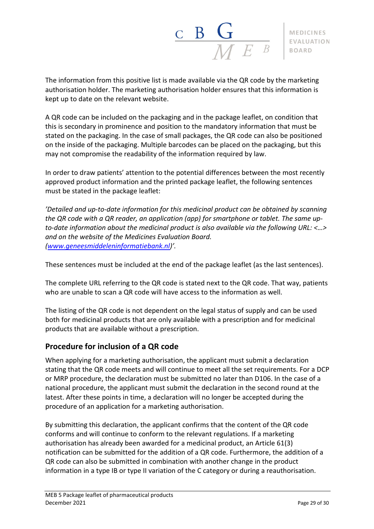$\frac{\mathbf{C}}{\mathbf{B}} \frac{\mathbf{G}}{\mathbf{M} F}$ 

The information from this positive list is made available via the QR code by the marketing authorisation holder. The marketing authorisation holder ensures that this information is kept up to date on the relevant website.

A QR code can be included on the packaging and in the package leaflet, on condition that this is secondary in prominence and position to the mandatory information that must be stated on the packaging. In the case of small packages, the QR code can also be positioned on the inside of the packaging. Multiple barcodes can be placed on the packaging, but this may not compromise the readability of the information required by law.

In order to draw patients' attention to the potential differences between the most recently approved product information and the printed package leaflet, the following sentences must be stated in the package leaflet:

*'Detailed and up-to-date information for this medicinal product can be obtained by scanning the QR code with a QR reader, an application (app) for smartphone or tablet. The same upto-date information about the medicinal product is also available via the following URL: <…> and on the website of the Medicines Evaluation Board. [\(www.geneesmiddeleninformatiebank.nl\)](http://www.geneesmiddeleninformatiebank.nl/)'.*

These sentences must be included at the end of the package leaflet (as the last sentences).

The complete URL referring to the QR code is stated next to the QR code. That way, patients who are unable to scan a QR code will have access to the information as well.

The listing of the QR code is not dependent on the legal status of supply and can be used both for medicinal products that are only available with a prescription and for medicinal products that are available without a prescription.

## **Procedure for inclusion of a QR code**

When applying for a marketing authorisation, the applicant must submit a declaration stating that the QR code meets and will continue to meet all the set requirements. For a DCP or MRP procedure, the declaration must be submitted no later than D106. In the case of a national procedure, the applicant must submit the declaration in the second round at the latest. After these points in time, a declaration will no longer be accepted during the procedure of an application for a marketing authorisation.

By submitting this declaration, the applicant confirms that the content of the QR code conforms and will continue to conform to the relevant regulations. If a marketing authorisation has already been awarded for a medicinal product, an Article 61(3) notification can be submitted for the addition of a QR code. Furthermore, the addition of a QR code can also be submitted in combination with another change in the product information in a type IB or type II variation of the C category or during a reauthorisation.